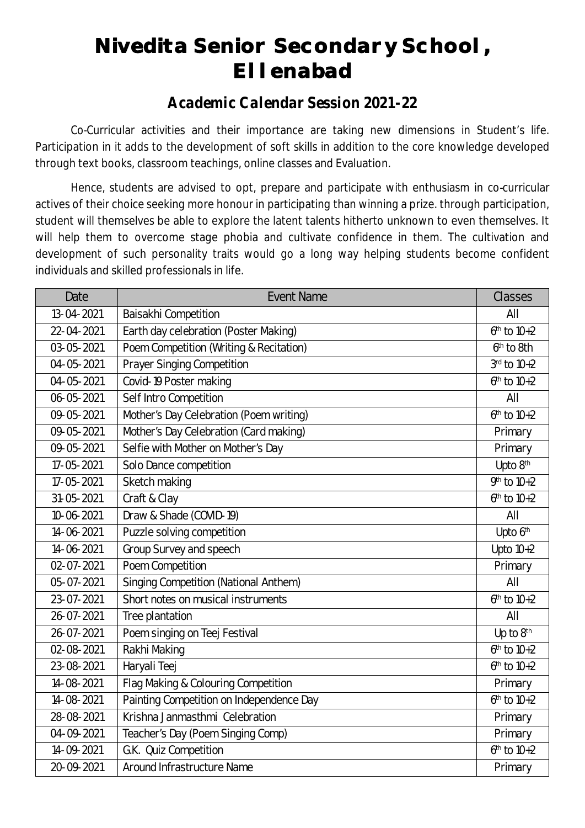# **Nivedita Senior Secondary School, Ellenabad**

#### *Academic Calendar Session 2021-22*

Co-Curricular activities and their importance are taking new dimensions in Student's life. Participation in it adds to the development of soft skills in addition to the core knowledge developed through text books, classroom teachings, online classes and Evaluation.

Hence, students are advised to opt, prepare and participate with enthusiasm in co-curricular actives of their choice seeking more honour in participating than winning a prize. through participation, student will themselves be able to explore the latent talents hitherto unknown to even themselves. It will help them to overcome stage phobia and cultivate confidence in them. The cultivation and development of such personality traits would go a long way helping students become confident individuals and skilled professionals in life.

| Date             | <b>Event Name</b>                        | <b>Classes</b>  |
|------------------|------------------------------------------|-----------------|
| 13-04-2021       | Baisakhi Competition                     | All             |
| 22-04-2021       | Earth day celebration (Poster Making)    | $6th$ to $10+2$ |
| 03-05-2021       | Poem Competition (Writing & Recitation)  | $6th$ to 8th    |
| 04-05-2021       | <b>Prayer Singing Competition</b>        | 3rd to 10+2     |
| 04-05-2021       | Covid-19 Poster making                   | $6th$ to $10+2$ |
| $06 - 05 - 2021$ | Self Intro Competition                   | All             |
| 09-05-2021       | Mother's Day Celebration (Poem writing)  | $6th$ to $10+2$ |
| 09-05-2021       | Mother's Day Celebration (Card making)   | Primary         |
| 09-05-2021       | Selfie with Mother on Mother's Day       | Primary         |
| 17-05-2021       | Solo Dance competition                   | Upto 8th        |
| 17-05-2021       | Sketch making                            | $9th$ to $10+2$ |
| $31 - 05 - 2021$ | Craft & Clay                             | $6th$ to $10+2$ |
| 10-06-2021       | Draw & Shade (COVID-19)                  | All             |
| 14-06-2021       | Puzzle solving competition               | Upto 6th        |
| 14-06-2021       | Group Survey and speech                  | Upto $10+2$     |
| $02 - 07 - 2021$ | Poem Competition                         | Primary         |
| 05-07-2021       | Singing Competition (National Anthem)    | All             |
| 23-07-2021       | Short notes on musical instruments       | $6th$ to $10+2$ |
| 26-07-2021       | Tree plantation                          | All             |
| 26-07-2021       | Poem singing on Teej Festival            | Up to 8th       |
| $02 - 08 - 2021$ | Rakhi Making                             | $6th$ to $10+2$ |
| 23-08-2021       | Haryali Teej                             | $6th$ to $10+2$ |
| 14-08-2021       | Flag Making & Colouring Competition      | Primary         |
| 14-08-2021       | Painting Competition on Independence Day | $6th$ to $10+2$ |
| 28-08-2021       | Krishna Janmasthmi Celebration           | Primary         |
| 04-09-2021       | Teacher's Day (Poem Singing Comp)        | Primary         |
| 14-09-2021       | G.K. Quiz Competition                    | $6th$ to $10+2$ |
| 20-09-2021       | <b>Around Infrastructure Name</b>        | Primary         |